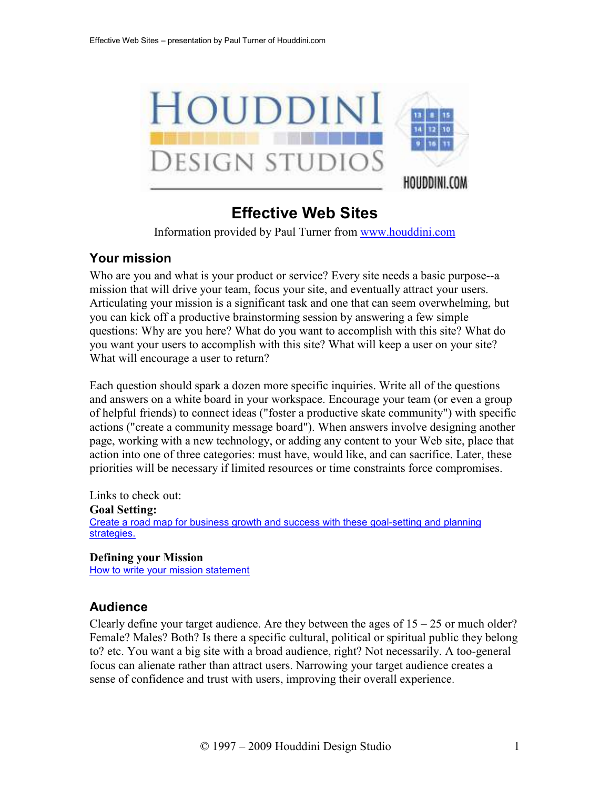

# **Effective Web Sites**

Information provided by Paul Turner from www.houddini.com

## **Your mission**

Who are you and what is your product or service? Every site needs a basic purpose--a mission that will drive your team, focus your site, and eventually attract your users. Articulating your mission is a significant task and one that can seem overwhelming, but you can kick off a productive brainstorming session by answering a few simple questions: Why are you here? What do you want to accomplish with this site? What do you want your users to accomplish with this site? What will keep a user on your site? What will encourage a user to return?

Each question should spark a dozen more specific inquiries. Write all of the questions and answers on a white board in your workspace. Encourage your team (or even a group of helpful friends) to connect ideas ("foster a productive skate community") with specific actions ("create a community message board"). When answers involve designing another page, working with a new technology, or adding any content to your Web site, place that action into one of three categories: must have, would like, and can sacrifice. Later, these priorities will be necessary if limited resources or time constraints force compromises.

Links to check out: **Goal Setting:**  Create a road map for business growth and success with these goal-setting and planning strategies.

#### **Defining your Mission**  How to write your mission statement

## **Audience**

Clearly define your target audience. Are they between the ages of  $15 - 25$  or much older? Female? Males? Both? Is there a specific cultural, political or spiritual public they belong to? etc. You want a big site with a broad audience, right? Not necessarily. A too-general focus can alienate rather than attract users. Narrowing your target audience creates a sense of confidence and trust with users, improving their overall experience.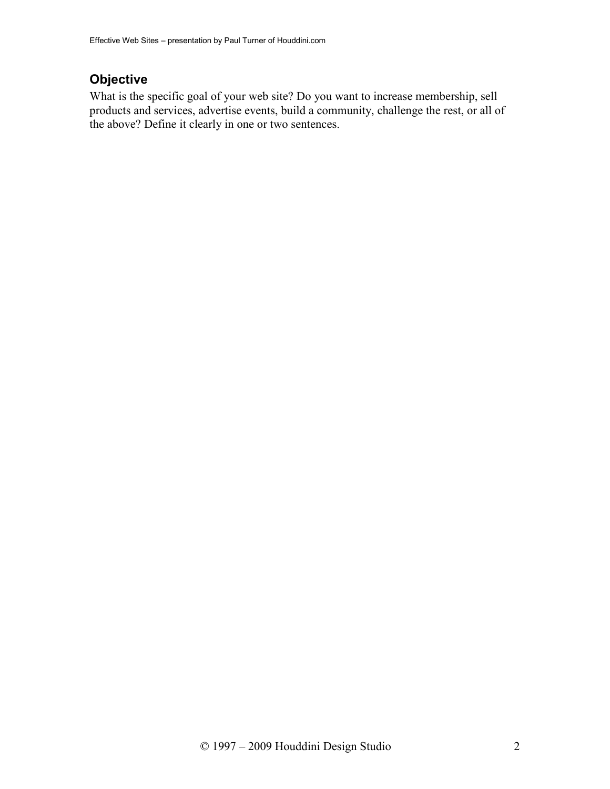## **Objective**

What is the specific goal of your web site? Do you want to increase membership, sell products and services, advertise events, build a community, challenge the rest, or all of the above? Define it clearly in one or two sentences.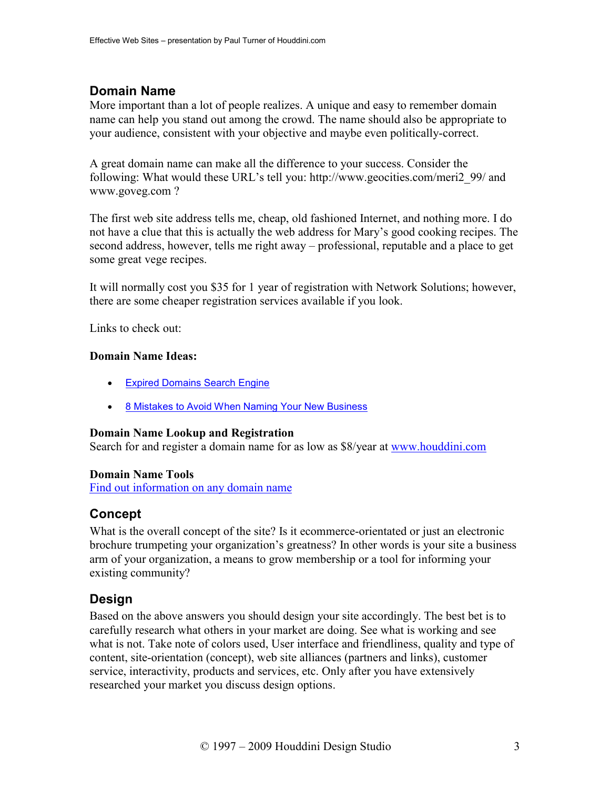## **Domain Name**

More important than a lot of people realizes. A unique and easy to remember domain name can help you stand out among the crowd. The name should also be appropriate to your audience, consistent with your objective and maybe even politically-correct.

A great domain name can make all the difference to your success. Consider the following: What would these URL's tell you: http://www.geocities.com/meri2\_99/ and www.goveg.com ?

The first web site address tells me, cheap, old fashioned Internet, and nothing more. I do not have a clue that this is actually the web address for Mary's good cooking recipes. The second address, however, tells me right away – professional, reputable and a place to get some great vege recipes.

It will normally cost you \$35 for 1 year of registration with Network Solutions; however, there are some cheaper registration services available if you look.

Links to check out:

#### **Domain Name Ideas:**

- Expired Domains Search Engine
- 8 Mistakes to Avoid When Naming Your New Business

#### **Domain Name Lookup and Registration**

Search for and register a domain name for as low as \$8/year at www.houddini.com

#### **Domain Name Tools**

Find out information on any domain name

## **Concept**

What is the overall concept of the site? Is it ecommerce-orientated or just an electronic brochure trumpeting your organization's greatness? In other words is your site a business arm of your organization, a means to grow membership or a tool for informing your existing community?

## **Design**

Based on the above answers you should design your site accordingly. The best bet is to carefully research what others in your market are doing. See what is working and see what is not. Take note of colors used, User interface and friendliness, quality and type of content, site-orientation (concept), web site alliances (partners and links), customer service, interactivity, products and services, etc. Only after you have extensively researched your market you discuss design options.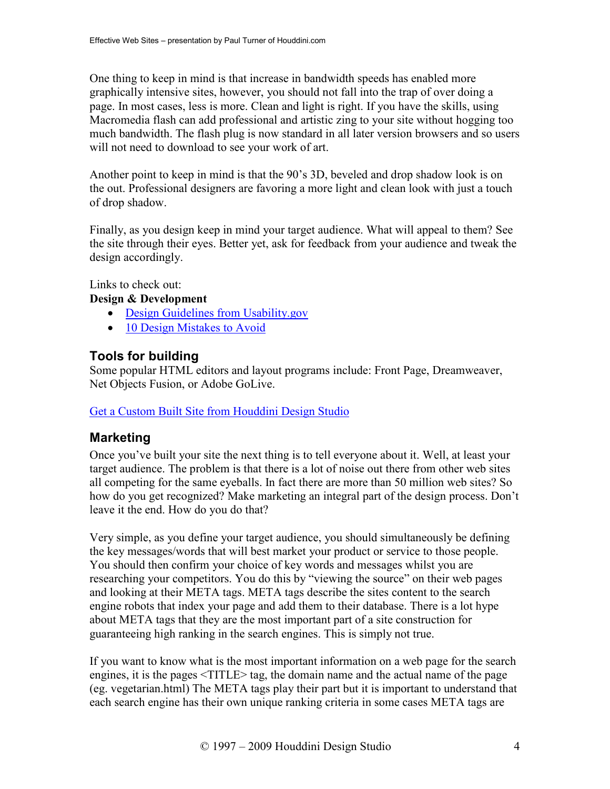One thing to keep in mind is that increase in bandwidth speeds has enabled more graphically intensive sites, however, you should not fall into the trap of over doing a page. In most cases, less is more. Clean and light is right. If you have the skills, using Macromedia flash can add professional and artistic zing to your site without hogging too much bandwidth. The flash plug is now standard in all later version browsers and so users will not need to download to see your work of art.

Another point to keep in mind is that the 90's 3D, beveled and drop shadow look is on the out. Professional designers are favoring a more light and clean look with just a touch of drop shadow.

Finally, as you design keep in mind your target audience. What will appeal to them? See the site through their eyes. Better yet, ask for feedback from your audience and tweak the design accordingly.

Links to check out:

#### **Design & Development**

- Design Guidelines from Usability.gov
- 10 Design Mistakes to Avoid

## **Tools for building**

Some popular HTML editors and layout programs include: Front Page, Dreamweaver, Net Objects Fusion, or Adobe GoLive.

#### Get a Custom Built Site from Houddini Design Studio

## **Marketing**

Once you've built your site the next thing is to tell everyone about it. Well, at least your target audience. The problem is that there is a lot of noise out there from other web sites all competing for the same eyeballs. In fact there are more than 50 million web sites? So how do you get recognized? Make marketing an integral part of the design process. Don't leave it the end. How do you do that?

Very simple, as you define your target audience, you should simultaneously be defining the key messages/words that will best market your product or service to those people. You should then confirm your choice of key words and messages whilst you are researching your competitors. You do this by "viewing the source" on their web pages and looking at their META tags. META tags describe the sites content to the search engine robots that index your page and add them to their database. There is a lot hype about META tags that they are the most important part of a site construction for guaranteeing high ranking in the search engines. This is simply not true.

If you want to know what is the most important information on a web page for the search engines, it is the pages <TITLE> tag, the domain name and the actual name of the page (eg. vegetarian.html) The META tags play their part but it is important to understand that each search engine has their own unique ranking criteria in some cases META tags are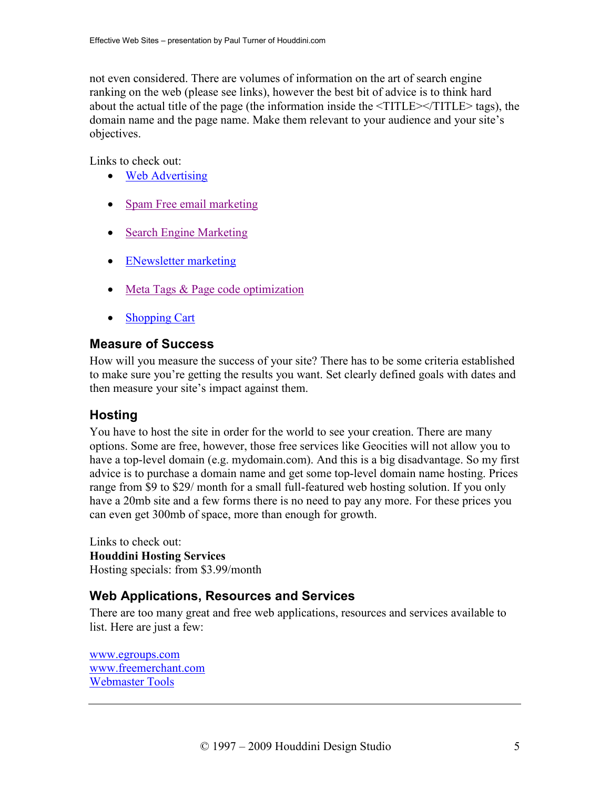not even considered. There are volumes of information on the art of search engine ranking on the web (please see links), however the best bit of advice is to think hard about the actual title of the page (the information inside the <TITLE></TITLE> tags), the domain name and the page name. Make them relevant to your audience and your site's objectives.

Links to check out:

- Web Advertising
- Spam Free email marketing
- Search Engine Marketing
- ENewsletter marketing
- Meta Tags & Page code optimization
- Shopping Cart

#### **Measure of Success**

How will you measure the success of your site? There has to be some criteria established to make sure you're getting the results you want. Set clearly defined goals with dates and then measure your site's impact against them.

## **Hosting**

You have to host the site in order for the world to see your creation. There are many options. Some are free, however, those free services like Geocities will not allow you to have a top-level domain (e.g. mydomain.com). And this is a big disadvantage. So my first advice is to purchase a domain name and get some top-level domain name hosting. Prices range from \$9 to \$29/ month for a small full-featured web hosting solution. If you only have a 20mb site and a few forms there is no need to pay any more. For these prices you can even get 300mb of space, more than enough for growth.

Links to check out: **Houddini Hosting Services**  Hosting specials: from \$3.99/month

## **Web Applications, Resources and Services**

There are too many great and free web applications, resources and services available to list. Here are just a few:

www.egroups.com www.freemerchant.com Webmaster Tools